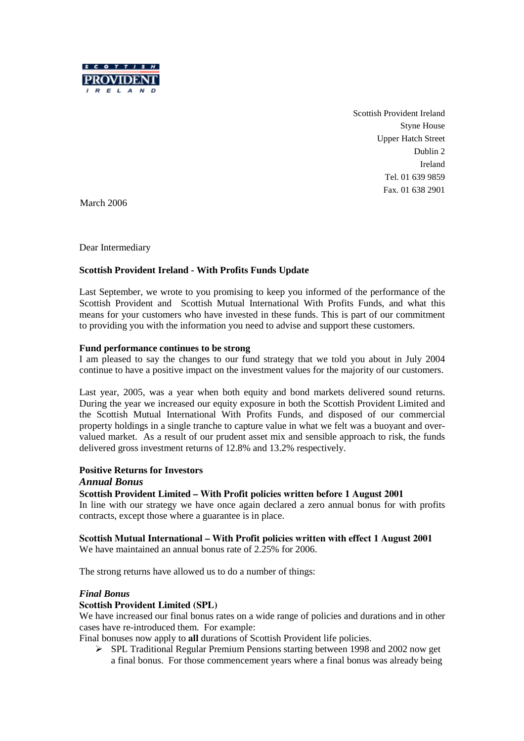

Scottish Provident Ireland Styne House Upper Hatch Street Dublin 2 Ireland Tel. 01 639 9859 Fax. 01 638 2901

March 2006

Dear Intermediary

## **Scottish Provident Ireland - With Profits Funds Update**

Last September, we wrote to you promising to keep you informed of the performance of the Scottish Provident and Scottish Mutual International With Profits Funds, and what this means for your customers who have invested in these funds. This is part of our commitment to providing you with the information you need to advise and support these customers.

#### **Fund performance continues to be strong**

I am pleased to say the changes to our fund strategy that we told you about in July 2004 continue to have a positive impact on the investment values for the majority of our customers.

Last year, 2005, was a year when both equity and bond markets delivered sound returns. During the year we increased our equity exposure in both the Scottish Provident Limited and the Scottish Mutual International With Profits Funds, and disposed of our commercial property holdings in a single tranche to capture value in what we felt was a buoyant and overvalued market. As a result of our prudent asset mix and sensible approach to risk, the funds delivered gross investment returns of 12.8% and 13.2% respectively.

## **Positive Returns for Investors**

#### *Annual Bonus*

#### **Scottish Provident Limited – With Profit policies written before 1 August 2001**

In line with our strategy we have once again declared a zero annual bonus for with profits contracts, except those where a guarantee is in place.

## **Scottish Mutual International – With Profit policies written with effect 1 August 2001**

We have maintained an annual bonus rate of 2.25% for 2006.

The strong returns have allowed us to do a number of things:

#### *Final Bonus*

#### **Scottish Provident Limited (SPL)**

We have increased our final bonus rates on a wide range of policies and durations and in other cases have re-introduced them. For example:

Final bonuses now apply to **all** durations of Scottish Provident life policies.

½ SPL Traditional Regular Premium Pensions starting between 1998 and 2002 now get a final bonus. For those commencement years where a final bonus was already being